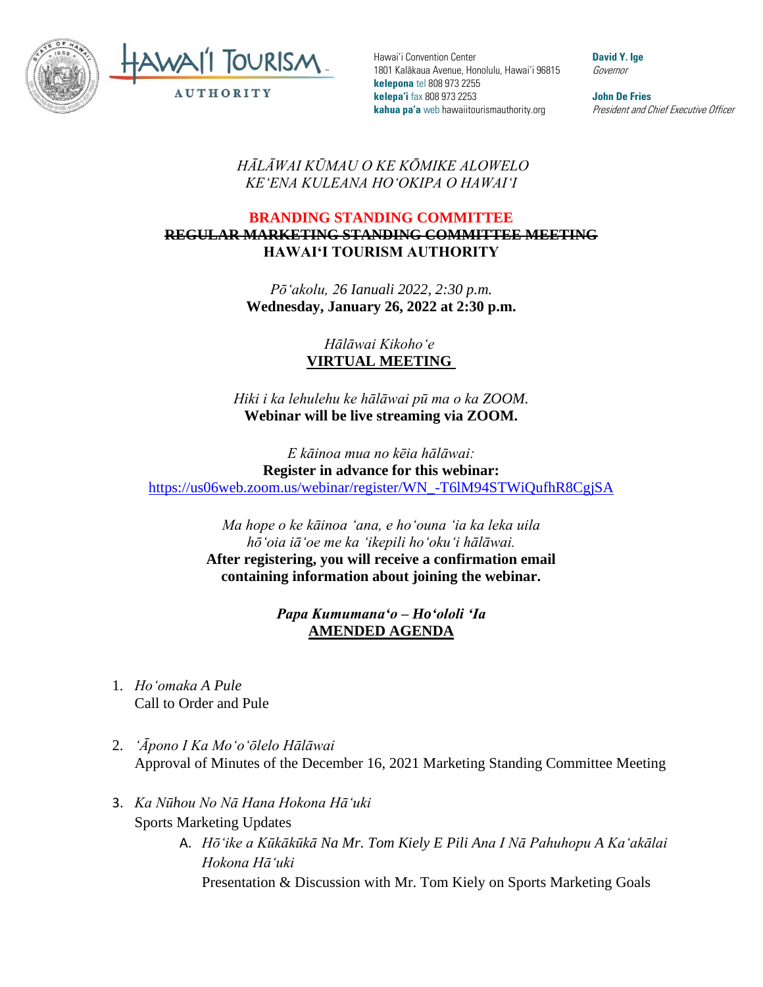



Hawai'i Convention Center 1801 Kalākaua Avenue, Honolulu, Hawai'i 96815 **kelepona** tel 808 973 2255 **kelepa'i** fax 808 973 2253 **kahua pa'a** web hawaiitourismauthority.org

**David Y. Ige** Governor

**John De Fries** President and Chief Executive Officer

## *HĀLĀWAI KŪMAU O KE KŌMIKE ALOWELO KEʻENA KULEANA HOʻOKIPA O HAWAIʻI*

## **BRANDING STANDING COMMITTEE REGULAR MARKETING STANDING COMMITTEE MEETING HAWAI'I TOURISM AUTHORITY**

*Pōʻakolu, 26 Ianuali 2022, 2:30 p.m.* **Wednesday, January 26, 2022 at 2:30 p.m.**

> *Hālāwai Kikohoʻe* **VIRTUAL MEETING**

*Hiki i ka lehulehu ke hālāwai pū ma o ka ZOOM.* **Webinar will be live streaming via ZOOM.**

*E kāinoa mua no kēia hālāwai:* **Register in advance for this webinar:** [https://us06web.zoom.us/webinar/register/WN\\_-T6lM94STWiQufhR8CgjSA](https://us06web.zoom.us/webinar/register/WN_-T6lM94STWiQufhR8CgjSA)

> *Ma hope o ke kāinoa ʻana, e hoʻouna ʻia ka leka uila hōʻoia iāʻoe me ka ʻikepili hoʻokuʻi hālāwai.*  **After registering, you will receive a confirmation email containing information about joining the webinar.**

> > *Papa Kumumanaʻo – Hoʻololi ʻIa* **AMENDED AGENDA**

- 1. *Hoʻomaka A Pule* Call to Order and Pule
- 2. *ʻĀpono I Ka Moʻoʻōlelo Hālāwai* Approval of Minutes of the December 16, 2021 Marketing Standing Committee Meeting
- 3. *Ka Nūhou No Nā Hana Hokona Hāʻuki* Sports Marketing Updates
	- A. *Hōʻike a Kūkākūkā Na Mr. Tom Kiely E Pili Ana I Nā Pahuhopu A Kaʻakālai Hokona Hāʻuki* Presentation & Discussion with Mr. Tom Kiely on Sports Marketing Goals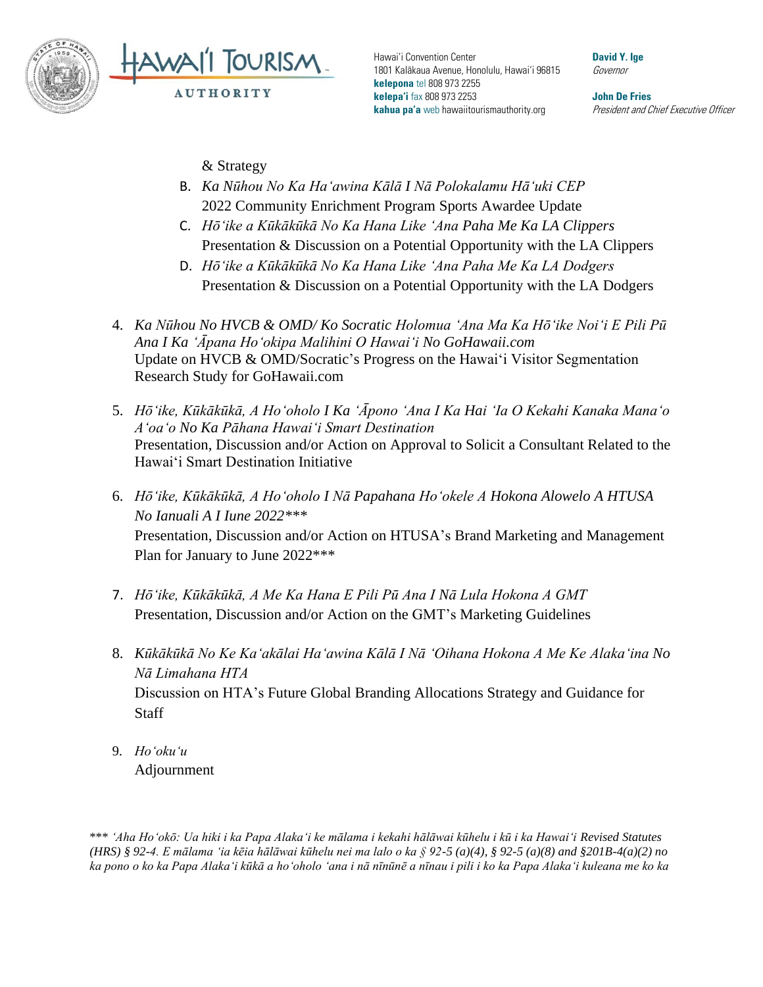



Hawai'i Convention Center 1801 Kalākaua Avenue, Honolulu, Hawai'i 96815 **kelepona** tel 808 973 2255 **kelepa'i** fax 808 973 2253 **kahua pa'a** web hawaiitourismauthority.org

**David Y. Ige** Governor

**John De Fries** President and Chief Executive Officer

& Strategy

- B. *Ka Nūhou No Ka Haʻawina Kālā I Nā Polokalamu Hāʻuki CEP* 2022 Community Enrichment Program Sports Awardee Update
- C. *Hōʻike a Kūkākūkā No Ka Hana Like ʻAna Paha Me Ka LA Clippers* Presentation & Discussion on a Potential Opportunity with the LA Clippers
- D. *Hōʻike a Kūkākūkā No Ka Hana Like ʻAna Paha Me Ka LA Dodgers* Presentation & Discussion on a Potential Opportunity with the LA Dodgers
- 4. *Ka Nūhou No HVCB & OMD/ Ko Socratic Holomua ʻAna Ma Ka Hōʻike Noiʻi E Pili Pū Ana I Ka ʻĀpana Hoʻokipa Malihini O Hawaiʻi No GoHawaii.com* Update on HVCB & OMD/Socratic's Progress on the Hawaiʻi Visitor Segmentation Research Study for GoHawaii.com
- 5. *Hōʻike, Kūkākūkā, A Hoʻoholo I Ka ʻĀpono ʻAna I Ka Hai ʻIa O Kekahi Kanaka Manaʻo Aʻoaʻo No Ka Pāhana Hawaiʻi Smart Destination* Presentation, Discussion and/or Action on Approval to Solicit a Consultant Related to the Hawai'i Smart Destination Initiative
- 6. *Hōʻike, Kūkākūkā, A Hoʻoholo I Nā Papahana Hoʻokele A Hokona Alowelo A HTUSA No Ianuali A I Iune 2022\*\*\** Presentation, Discussion and/or Action on HTUSA's Brand Marketing and Management Plan for January to June 2022\*\*\*
- 7. *Hōʻike, Kūkākūkā, A Me Ka Hana E Pili Pū Ana I Nā Lula Hokona A GMT* Presentation, Discussion and/or Action on the GMT's Marketing Guidelines
- 8. *Kūkākūkā No Ke Kaʻakālai Haʻawina Kālā I Nā ʻOihana Hokona A Me Ke Alakaʻina No Nā Limahana HTA* Discussion on HTA's Future Global Branding Allocations Strategy and Guidance for **Staff**
- 9. *Hoʻokuʻu* Adjournment

\*\*\* *ʻAha Hoʻokō: Ua hiki i ka Papa Alakaʻi ke mālama i kekahi hālāwai kūhelu i kū i ka Hawaiʻi Revised Statutes (HRS) § 92-4. E mālama ʻia kēia hālāwai kūhelu nei ma lalo o ka § 92-5 (a)(4), § 92-5 (a)(8) and §201B-4(a)(2) no ka pono o ko ka Papa Alakaʻi kūkā a hoʻoholo ʻana i nā nīnūnē a nīnau i pili i ko ka Papa Alakaʻi kuleana me ko ka*